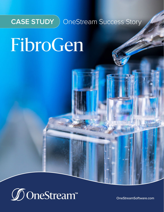

**CASE STUDY** OneStream Success Story

# FibroGen



[OneStreamSoftware.com](http://www.onestreamsoftware.com)

Little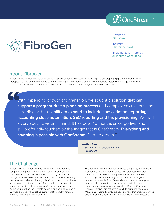



Company: **FibroGen**

Industry: **Pharmaceutical**

Implementation Partner: **Archetype Consulting**

#### About FibroGen

FibroGen, Inc. is a leading science-based biopharmaceutical company discovering and developing a pipeline of first-in-class therapeutics. The company applies its pioneering expertise in fibrosis and hypoxia-inducible factor (HIF) biology and clinical development to advance innovative medicines for the treatment of anemia, fibrotic disease and cancer.

With impending growth and transition, we sought a **solution that can support a program-driven planning process** and complex calculations and modeling with the **ability to expand to include consolidation, reporting, accounting close automation, SEC reporting and tax provisioning**. We had a very specific vision in mind. It has been 10 months since go-live, and I'm still profoundly touched by the magic that is OneStream. **Everything and anything is possible with OneStream.** Dare to dream."

> **—Alex Lee**  *Senior Director, Corporate FP&A* **FIBROGEN**

# The Challenge

FibroGen recently transformed from a drug development company to a global multi-channel commercial business. Their transition success depended on rapidly building out sales, channel development and marketing as well as aligning the business and operational goals of their scientists, business leaders and the Finance team. Realizing these goals required a more sophisticated corporate performance management (CPM) solution than their Excel®-based planning models and a 20-year-old legacy budgeting system that was fully matured and accepted within the organization.

This transition led to increased business complexity. As FibroGen matured into the commercial space with product sales, their business needs evolved to require sophisticated quarterly forecasting, cash forecasting and external guidance (EPS). To answer these needs, FibroGen envisioned a unified enterprise finance platform solution for planning, consolidation, close, reporting and tax provisioning. Alex Lee, Director Corporate FP&A of FibroGen did not dream small. To complete this vision, Ms. Lee also wanted an intuitive user interface that empowered their scientists and business leaders in addition to the Finance team.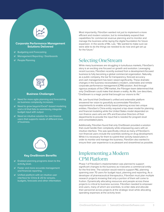

#### **Corporate Performance Management Solutions Delivered**

- $\mathcal G$  Budgeting and Forecasting
- Management Reporting / Dashboards
- $\mathcal O$  People Planning



#### **Business Challenges**

- $\mathcal O$  Need for more agile planning and forecasting as business complexity increases.
- Need to grow beyond Excel®-based modeling and a UI that fails to seamlessly integrate budget input with output.
- $\mathcal O$  Need an intuitive solution for non-finance users that supports needs of different lines of business.



#### **Key OneStream Benefits**

- $\mathcal O$  Enabled planning programs down to the activity level.
- $\mathcal O$  Faster and more accurate management and financial reporting.
- $\mathcal O$  Unified platform with an intuitive user interface for China & US for actuals, budgets, forecasts and other information.

Most importantly, FibroGen wanted not just to implement a more efficient and modern solution, but to immediately expand their capabilities for commercial revenue planning and to monitor and manage the business while laying the digital foundation for future expansion. In the words of Ms. Lee, "We wanted to make sure we were able to do the things we needed to do now and get set up for the future."

## Selecting OneStream

While many businesses are struggling in tumultuous markets, FibroGen's story is an exciting one focused on growth and evolution. Leveraging recent success, FibroGen recently evolved from a development-focused business to fully becoming a global commercial organization. Naturally, as a public company, the bar for transparency, forecast accuracy and cash management has been raised significantly. These dramatic changes in the business necessitated a modern, extensible and nimble corporate performance management (CPM) solution. And through rigorous analysis of the CPM market, the Fibrogen team determined that only OneStream could make that dream a reality. As Ms. Lee describes, "OneStream is a magic portal that brought our visions to life."

Ms. Lee found that OneStream's unified and extensible platform answered her vision to gracefully accommodate FibroGen's requirements to enable activity-based planning across two unique entities. FibroGen's China entity required a top-down model for planning and financial modeling while the United States model depended on non-finance users who are VPs and Executive Directors of their departments to provide the input that is needed for program-level and consolidated plans.

Additionally, FibroGen found that only OneStream provided a solution that could handle their complexity while empowering users with an intuitive interface. This was specifically critical as many of FibroGen's non-financial users include the scientists working on drug development. While it is necessary for them to submit their activity-based plans in order to monitor and manage the business, FibroGen also wanted to ensure their user experience is as pleasant and streamlined as possible.

#### Implementing a Modern CPM Platform

Phase 1 of FibroGen's implementation was planned to support significant changes to the business as it became a commercial entity for the first time. The solution would need to support P&L planning spanning over 70 users for budget input, planning and reporting. As a developer of pharmaceutical therapeutics, FibroGen must plan multiple research projects knowing that only a portion of them will come to fruition. Dynamically allocating resources and people across these projects is critical to business success. FibroGen needed to empower end-users, many of which are scientists, to enter data and allocate their personnel across projects at the strategic level while allocating operating expenses at the activity level.